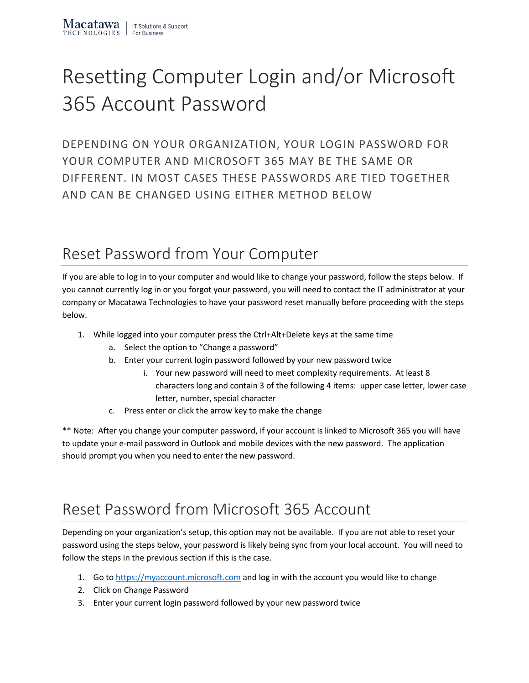## Resetting Computer Login and/or Microsoft 365 Account Password

DEPENDING ON YOUR ORGANIZATION, YOUR LOGIN PASSWORD FOR YOUR COMPUTER AND MICROSOFT 365 MAY BE THE SAME OR DIFFERENT. IN MOST CASES THESE PASSWORDS ARE TIED TOGETHER AND CAN BE CHANGED USING EITHER METHOD BELOW

## Reset Password from Your Computer

If you are able to log in to your computer and would like to change your password, follow the steps below. If you cannot currently log in or you forgot your password, you will need to contact the IT administrator at your company or Macatawa Technologies to have your password reset manually before proceeding with the steps below.

- 1. While logged into your computer press the Ctrl+Alt+Delete keys at the same time
	- a. Select the option to "Change a password"
	- b. Enter your current login password followed by your new password twice
		- i. Your new password will need to meet complexity requirements. At least 8 characters long and contain 3 of the following 4 items: upper case letter, lower case letter, number, special character
	- c. Press enter or click the arrow key to make the change

\*\* Note: After you change your computer password, if your account is linked to Microsoft 365 you will have to update your e-mail password in Outlook and mobile devices with the new password. The application should prompt you when you need to enter the new password.

## Reset Password from Microsoft 365 Account

Depending on your organization's setup, this option may not be available. If you are not able to reset your password using the steps below, your password is likely being sync from your local account. You will need to follow the steps in the previous section if this is the case.

- 1. Go to [https://myaccount.microsoft.com](https://myaccount.microsoft.com/) and log in with the account you would like to change
- 2. Click on Change Password
- 3. Enter your current login password followed by your new password twice